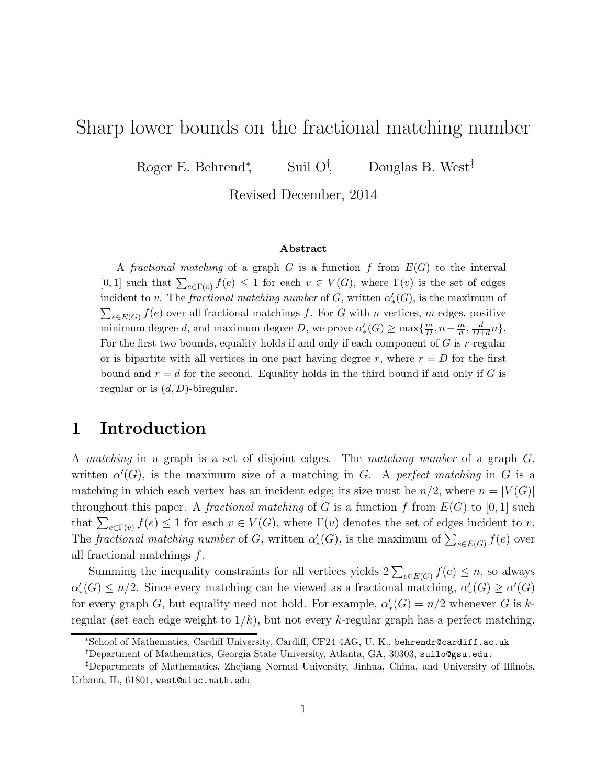# Sharp lower bounds on the fractional matching number

Roger E. Behrend<sup>∗</sup> Suil  $O^{\dagger}$ , Douglas B. West<sup>‡</sup>

Revised December, 2014

#### Abstract

A fractional matching of a graph  $G$  is a function  $f$  from  $E(G)$  to the interval [0,1] such that  $\sum_{e \in \Gamma(v)} f(e) \leq 1$  for each  $v \in V(G)$ , where  $\Gamma(v)$  is the set of edges incident to v. The *fractional matching number* of G, written  $\alpha'_{*}(G)$ , is the maximum of  $\sum_{e \in E(G)} f(e)$  over all fractional matchings f. For G with n vertices, m edges, positive minimum degree d, and maximum degree D, we prove  $\alpha'_{*}(G) \ge \max\{\frac{m}{D}\}$  $\frac{m}{D}$ ,  $n-\frac{m}{d}$ ,  $\frac{d}{D+1}$  $\frac{d}{D+d}n$ . For the first two bounds, equality holds if and only if each component of  $G$  is r-regular or is bipartite with all vertices in one part having degree r, where  $r = D$  for the first bound and  $r = d$  for the second. Equality holds in the third bound if and only if G is regular or is  $(d, D)$ -biregular.

## 1 Introduction

A *matching* in a graph is a set of disjoint edges. The *matching number* of a graph G, written  $\alpha'(G)$ , is the maximum size of a matching in G. A *perfect matching* in G is a matching in which each vertex has an incident edge; its size must be  $n/2$ , where  $n = |V(G)|$ throughout this paper. A *fractional matching* of G is a function f from  $E(G)$  to [0, 1] such that  $\sum_{e \in \Gamma(v)} f(e) \leq 1$  for each  $v \in V(G)$ , where  $\Gamma(v)$  denotes the set of edges incident to v. The *fractional matching number* of G, written  $\alpha'_{*}(G)$ , is the maximum of  $\sum_{e \in E(G)} f(e)$  over all fractional matchings  $f$ .

Summing the inequality constraints for all vertices yields  $2\sum_{e\in E(G)} f(e) \leq n$ , so always  $\alpha'_{*}(G) \leq n/2$ . Since every matching can be viewed as a fractional matching,  $\alpha'_{*}(G) \geq \alpha'(G)$ for every graph G, but equality need not hold. For example,  $\alpha'_{*}(G) = n/2$  whenever G is kregular (set each edge weight to  $1/k$ ), but not every k-regular graph has a perfect matching.

<sup>∗</sup>School of Mathematics, Cardiff University, Cardiff, CF24 4AG, U. K., behrendr@cardiff.ac.uk

<sup>†</sup>Department of Mathematics, Georgia State University, Atlanta, GA, 30303, suilo@gsu.edu.

<sup>‡</sup>Departments of Mathematics, Zhejiang Normal University, Jinhua, China, and University of Illinois, Urbana, IL, 61801, west@uiuc.math.edu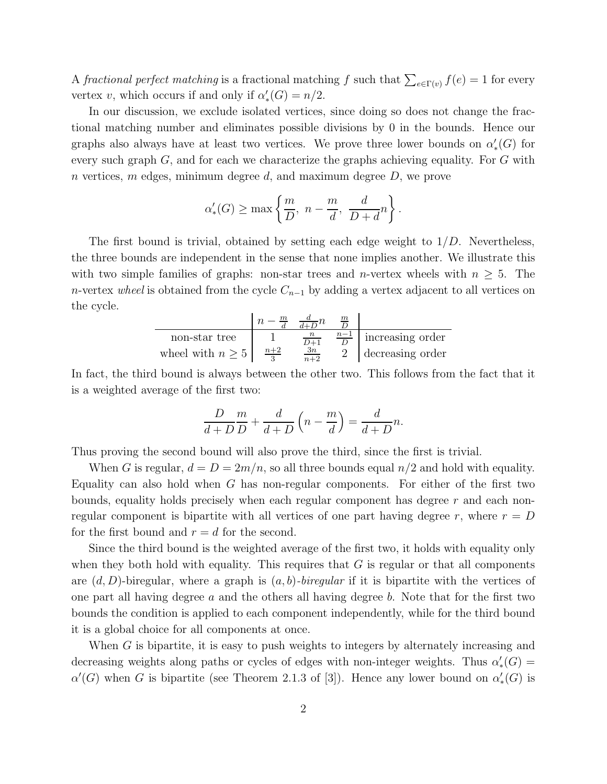A *fractional perfect matching* is a fractional matching f such that  $\sum_{e \in \Gamma(v)} f(e) = 1$  for every vertex v, which occurs if and only if  $\alpha'_{*}(G) = n/2$ .

In our discussion, we exclude isolated vertices, since doing so does not change the fractional matching number and eliminates possible divisions by 0 in the bounds. Hence our graphs also always have at least two vertices. We prove three lower bounds on  $\alpha'_{*}(G)$  for every such graph  $G$ , and for each we characterize the graphs achieving equality. For  $G$  with n vertices, m edges, minimum degree d, and maximum degree  $D$ , we prove

$$
\alpha'_{*}(G) \ge \max \left\{ \frac{m}{D}, n - \frac{m}{d}, \frac{d}{D+d}n \right\}.
$$

The first bound is trivial, obtained by setting each edge weight to  $1/D$ . Nevertheless, the three bounds are independent in the sense that none implies another. We illustrate this with two simple families of graphs: non-star trees and *n*-vertex wheels with  $n \geq 5$ . The *n*-vertex *wheel* is obtained from the cycle  $C_{n-1}$  by adding a vertex adjacent to all vertices on the cycle.

$$
\begin{array}{c|c|c|c|c} & n-\frac{m}{d} & \frac{d}{d+D}n & \frac{m}{D} \\ \hline \text{non-star tree} & 1 & \frac{n}{D+1} & \frac{n-1}{D} & \text{increasing order} \\ \text{wheel with } n \ge 5 & \frac{n+2}{3} & \frac{3n}{n+2} & 2 & \text{decreasing order} \end{array}
$$

In fact, the third bound is always between the other two. This follows from the fact that it is a weighted average of the first two:

$$
\frac{D}{d+D}\frac{m}{D} + \frac{d}{d+D}\left(n - \frac{m}{d}\right) = \frac{d}{d+D}n.
$$

Thus proving the second bound will also prove the third, since the first is trivial.

When G is regular,  $d = D = 2m/n$ , so all three bounds equal  $n/2$  and hold with equality. Equality can also hold when  $G$  has non-regular components. For either of the first two bounds, equality holds precisely when each regular component has degree  $r$  and each nonregular component is bipartite with all vertices of one part having degree r, where  $r = D$ for the first bound and  $r = d$  for the second.

Since the third bound is the weighted average of the first two, it holds with equality only when they both hold with equality. This requires that  $G$  is regular or that all components are  $(d, D)$ -biregular, where a graph is  $(a, b)$ -biregular if it is bipartite with the vertices of one part all having degree  $a$  and the others all having degree  $b$ . Note that for the first two bounds the condition is applied to each component independently, while for the third bound it is a global choice for all components at once.

When G is bipartite, it is easy to push weights to integers by alternately increasing and decreasing weights along paths or cycles of edges with non-integer weights. Thus  $\alpha'_{*}(G)$  =  $\alpha'(G)$  when G is bipartite (see Theorem 2.1.3 of [3]). Hence any lower bound on  $\alpha'_{*}(G)$  is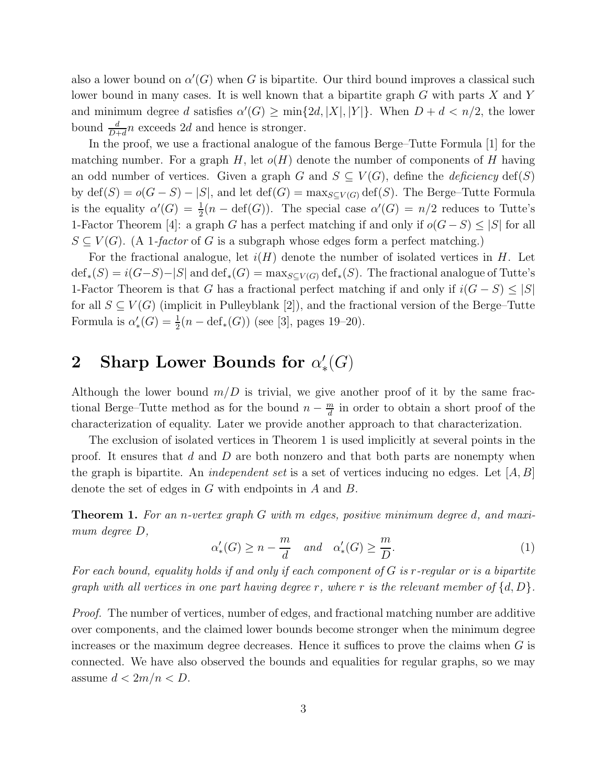also a lower bound on  $\alpha'(G)$  when G is bipartite. Our third bound improves a classical such lower bound in many cases. It is well known that a bipartite graph G with parts X and Y and minimum degree d satisfies  $\alpha'(G) \ge \min\{2d, |X|, |Y|\}.$  When  $D + d < n/2$ , the lower bound  $\frac{d}{D+d}n$  exceeds 2d and hence is stronger.

In the proof, we use a fractional analogue of the famous Berge–Tutte Formula [1] for the matching number. For a graph H, let  $o(H)$  denote the number of components of H having an odd number of vertices. Given a graph G and  $S \subseteq V(G)$ , define the *deficiency* def(S) by  $\text{def}(S) = o(G - S) - |S|$ , and let  $\text{def}(G) = \max_{S \subseteq V(G)} \text{def}(S)$ . The Berge–Tutte Formula is the equality  $\alpha'(G) = \frac{1}{2}(n - \text{def}(G))$ . The special case  $\alpha'(G) = n/2$  reduces to Tutte's 1-Factor Theorem [4]: a graph G has a perfect matching if and only if  $o(G-S) \leq |S|$  for all  $S \subseteq V(G)$ . (A 1*-factor* of G is a subgraph whose edges form a perfect matching.)

For the fractional analogue, let  $i(H)$  denote the number of isolated vertices in H. Let  $\text{def}_*(S) = i(G-S) - |S|$  and  $\text{def}_*(G) = \max_{S \subseteq V(G)} \text{def}_*(S)$ . The fractional analogue of Tutte's 1-Factor Theorem is that G has a fractional perfect matching if and only if  $i(G - S) \leq |S|$ for all  $S \subseteq V(G)$  (implicit in Pulleyblank [2]), and the fractional version of the Berge–Tutte Formula is  $\alpha'_{*}(G) = \frac{1}{2}(n - \text{def}_{*}(G))$  (see [3], pages 19–20).

### $2$  Sharp Lower Bounds for  $\alpha'_{*}$  $_{*}^{\prime }(G)$

Although the lower bound  $m/D$  is trivial, we give another proof of it by the same fractional Berge–Tutte method as for the bound  $n - \frac{m}{d}$  $\frac{m}{d}$  in order to obtain a short proof of the characterization of equality. Later we provide another approach to that characterization.

The exclusion of isolated vertices in Theorem 1 is used implicitly at several points in the proof. It ensures that  $d$  and  $D$  are both nonzero and that both parts are nonempty when the graph is bipartite. An *independent set* is a set of vertices inducing no edges. Let [A, B] denote the set of edges in G with endpoints in A and B.

Theorem 1. *For an* n*-vertex graph* G *with* m *edges, positive minimum degree* d*, and maximum degree* D*,*

$$
\alpha'_{*}(G) \ge n - \frac{m}{d} \quad \text{and} \quad \alpha'_{*}(G) \ge \frac{m}{D}.\tag{1}
$$

*For each bound, equality holds if and only if each component of* G *is* r*-regular or is a bipartite graph with all vertices in one part having degree* r*, where* r *is the relevant member of* {d, D}*.*

*Proof.* The number of vertices, number of edges, and fractional matching number are additive over components, and the claimed lower bounds become stronger when the minimum degree increases or the maximum degree decreases. Hence it suffices to prove the claims when  $G$  is connected. We have also observed the bounds and equalities for regular graphs, so we may assume  $d < 2m/n < D$ .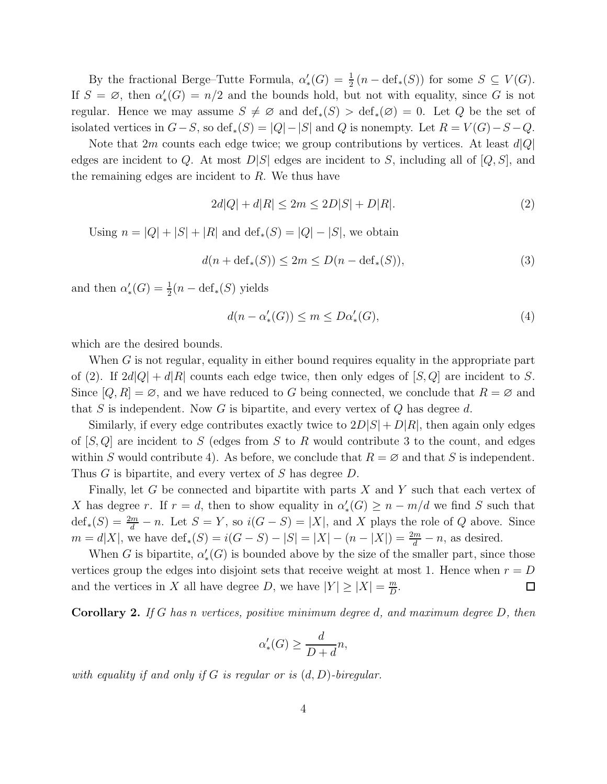By the fractional Berge–Tutte Formula,  $\alpha'_{*}(G) = \frac{1}{2}(n - \text{def}_{*}(S))$  for some  $S \subseteq V(G)$ . If  $S = \emptyset$ , then  $\alpha'_{*}(G) = n/2$  and the bounds hold, but not with equality, since G is not regular. Hence we may assume  $S \neq \emptyset$  and  $\text{def}_*(S) > \text{def}_*(\emptyset) = 0$ . Let Q be the set of isolated vertices in  $G-S$ , so def<sub>\*</sub> $(S) = |Q| - |S|$  and Q is nonempty. Let  $R = V(G) - S - Q$ .

Note that  $2m$  counts each edge twice; we group contributions by vertices. At least  $d|Q|$ edges are incident to Q. At most  $D|S|$  edges are incident to S, including all of  $[Q, S]$ , and the remaining edges are incident to  $R$ . We thus have

$$
2d|Q| + d|R| \le 2m \le 2D|S| + D|R|.
$$
 (2)

Using  $n = |Q| + |S| + |R|$  and  $\text{def}_*(S) = |Q| - |S|$ , we obtain

$$
d(n + \operatorname{def}_{*}(S)) \le 2m \le D(n - \operatorname{def}_{*}(S)),
$$
\n(3)

and then  $\alpha'_{*}(G) = \frac{1}{2}(n - \text{def}_{*}(S))$  yields

$$
d(n - \alpha'_*(G)) \le m \le D\alpha'_*(G),\tag{4}
$$

which are the desired bounds.

When G is not regular, equality in either bound requires equality in the appropriate part of (2). If  $2d|Q| + d|R|$  counts each edge twice, then only edges of  $[S, Q]$  are incident to S. Since  $[Q, R] = \emptyset$ , and we have reduced to G being connected, we conclude that  $R = \emptyset$  and that S is independent. Now G is bipartite, and every vertex of Q has degree d.

Similarly, if every edge contributes exactly twice to  $2D|S| + D|R|$ , then again only edges of  $[S, Q]$  are incident to S (edges from S to R would contribute 3 to the count, and edges within S would contribute 4). As before, we conclude that  $R = \emptyset$  and that S is independent. Thus G is bipartite, and every vertex of S has degree D.

Finally, let G be connected and bipartite with parts X and Y such that each vertex of X has degree r. If  $r = d$ , then to show equality in  $\alpha'_{*}(G) \geq n - m/d$  we find S such that  $\text{def}_{*}(S) = \frac{2m}{d} - n$ . Let  $S = Y$ , so  $i(G - S) = |X|$ , and X plays the role of Q above. Since  $m = d|X|$ , we have  $\text{def}_{*}(S) = i(G - S) - |S| = |X| - (n - |X|) = \frac{2m}{d} - n$ , as desired.

When G is bipartite,  $\alpha'_{*}(G)$  is bounded above by the size of the smaller part, since those vertices group the edges into disjoint sets that receive weight at most 1. Hence when  $r = D$ and the vertices in X all have degree D, we have  $|Y| \ge |X| = \frac{m}{D}$  $\frac{m}{D}$ .  $\Box$ 

Corollary 2. *If* G *has* n *vertices, positive minimum degree* d*, and maximum degree* D*, then*

$$
\alpha'_{*}(G) \ge \frac{d}{D+d}n,
$$

*with equality if and only if* G *is regular or is* (d, D)*-biregular.*